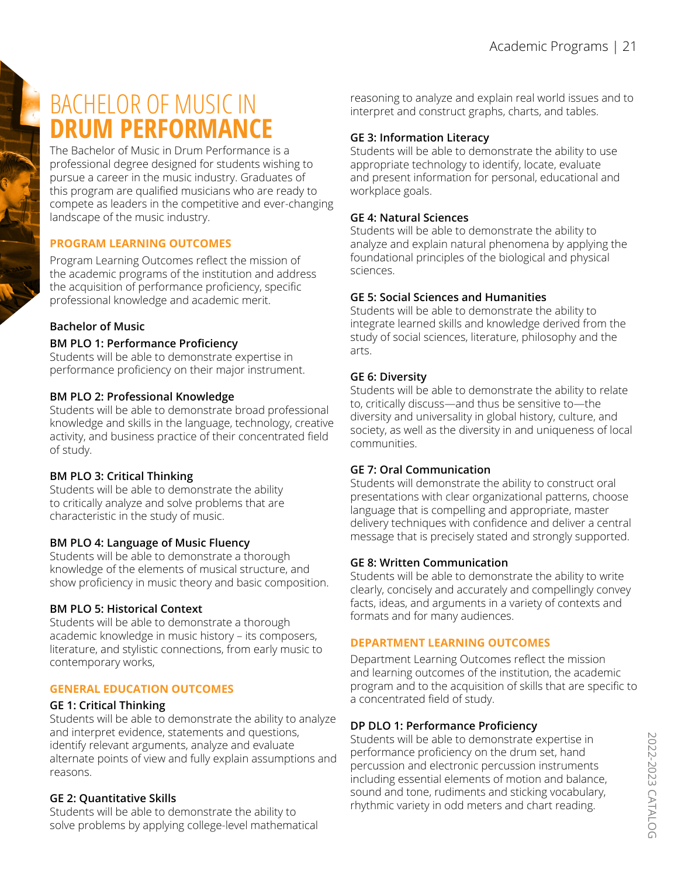# BACHELOR OF MUSIC IN **DRUM PERFORMANCE**

The Bachelor of Music in Drum Performance is a professional degree designed for students wishing to pursue a career in the music industry. Graduates of this program are qualified musicians who are ready to compete as leaders in the competitive and ever-changing landscape of the music industry.

# **PROGRAM LEARNING OUTCOMES**

Program Learning Outcomes reflect the mission of the academic programs of the institution and address the acquisition of performance proficiency, specific professional knowledge and academic merit.

# **Bachelor of Music**

#### **BM PLO 1: Performance Proficiency**

Students will be able to demonstrate expertise in performance proficiency on their major instrument.

## **BM PLO 2: Professional Knowledge**

Students will be able to demonstrate broad professional knowledge and skills in the language, technology, creative activity, and business practice of their concentrated field of study.

## **BM PLO 3: Critical Thinking**

Students will be able to demonstrate the ability to critically analyze and solve problems that are characteristic in the study of music.

## **BM PLO 4: Language of Music Fluency**

Students will be able to demonstrate a thorough knowledge of the elements of musical structure, and show proficiency in music theory and basic composition.

## **BM PLO 5: Historical Context**

Students will be able to demonstrate a thorough academic knowledge in music history – its composers, literature, and stylistic connections, from early music to contemporary works,

## **GENERAL EDUCATION OUTCOMES**

## **GE 1: Critical Thinking**

Students will be able to demonstrate the ability to analyze and interpret evidence, statements and questions, identify relevant arguments, analyze and evaluate alternate points of view and fully explain assumptions and reasons.

## **GE 2: Quantitative Skills**

Students will be able to demonstrate the ability to solve problems by applying college-level mathematical reasoning to analyze and explain real world issues and to interpret and construct graphs, charts, and tables.

## **GE 3: Information Literacy**

Students will be able to demonstrate the ability to use appropriate technology to identify, locate, evaluate and present information for personal, educational and workplace goals.

#### **GE 4: Natural Sciences**

Students will be able to demonstrate the ability to analyze and explain natural phenomena by applying the foundational principles of the biological and physical sciences.

#### **GE 5: Social Sciences and Humanities**

Students will be able to demonstrate the ability to integrate learned skills and knowledge derived from the study of social sciences, literature, philosophy and the arts.

## **GE 6: Diversity**

Students will be able to demonstrate the ability to relate to, critically discuss—and thus be sensitive to—the diversity and universality in global history, culture, and society, as well as the diversity in and uniqueness of local communities.

#### **GE 7: Oral Communication**

Students will demonstrate the ability to construct oral presentations with clear organizational patterns, choose language that is compelling and appropriate, master delivery techniques with confidence and deliver a central message that is precisely stated and strongly supported.

#### **GE 8: Written Communication**

Students will be able to demonstrate the ability to write clearly, concisely and accurately and compellingly convey facts, ideas, and arguments in a variety of contexts and formats and for many audiences.

## **DEPARTMENT LEARNING OUTCOMES**

Department Learning Outcomes reflect the mission and learning outcomes of the institution, the academic program and to the acquisition of skills that are specific to a concentrated field of study.

## **DP DLO 1: Performance Proficiency**

Students will be able to demonstrate expertise in performance proficiency on the drum set, hand percussion and electronic percussion instruments including essential elements of motion and balance, sound and tone, rudiments and sticking vocabulary, rhythmic variety in odd meters and chart reading.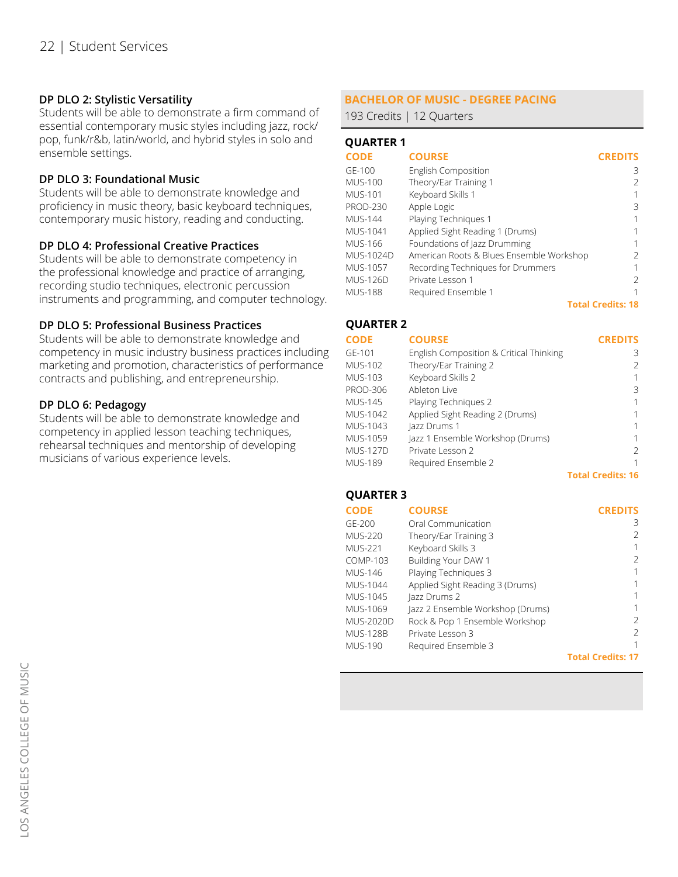## **DP DLO 2: Stylistic Versatility**

Students will be able to demonstrate a firm command of essential contemporary music styles including jazz, rock/ pop, funk/r&b, latin/world, and hybrid styles in solo and ensemble settings.

#### **DP DLO 3: Foundational Music**

Students will be able to demonstrate knowledge and proficiency in music theory, basic keyboard techniques, contemporary music history, reading and conducting.

#### **DP DLO 4: Professional Creative Practices**

Students will be able to demonstrate competency in the professional knowledge and practice of arranging, recording studio techniques, electronic percussion instruments and programming, and computer technology.

#### **DP DLO 5: Professional Business Practices**

Students will be able to demonstrate knowledge and competency in music industry business practices including marketing and promotion, characteristics of performance contracts and publishing, and entrepreneurship.

#### **DP DLO 6: Pedagogy**

Students will be able to demonstrate knowledge and competency in applied lesson teaching techniques, rehearsal techniques and mentorship of developing musicians of various experience levels.

# **BACHELOR OF MUSIC - DEGREE PACING**

193 Credits | 12 Quarters

## **QUARTER 1**

| <b>CODE</b>     | <b>COURSE</b>                            | <b>CREDITS</b>           |
|-----------------|------------------------------------------|--------------------------|
| GE-100          | English Composition                      | 3                        |
| <b>MUS-100</b>  | Theory/Ear Training 1                    |                          |
| <b>MUS-101</b>  | Keyboard Skills 1                        | 1                        |
| <b>PROD-230</b> | Apple Logic                              | 3                        |
| <b>MUS-144</b>  | Playing Techniques 1                     |                          |
| MUS-1041        | Applied Sight Reading 1 (Drums)          |                          |
| <b>MUS-166</b>  | Foundations of Jazz Drumming             |                          |
| MUS-1024D       | American Roots & Blues Ensemble Workshop | 2                        |
| MUS-1057        | Recording Techniques for Drummers        |                          |
| <b>MUS-126D</b> | Private Lesson 1                         | 2                        |
| <b>MUS-188</b>  | Required Ensemble 1                      | 1                        |
|                 |                                          | <b>Total Credits: 18</b> |

# **QUARTER 2**

| <b>CODE</b>     | <b>COURSE</b>                           | <b>CREDITS</b> |
|-----------------|-----------------------------------------|----------------|
| GE-101          | English Composition & Critical Thinking | 3              |
| <b>MUS-102</b>  | Theory/Ear Training 2                   | 2              |
| <b>MUS-103</b>  | Keyboard Skills 2                       |                |
| <b>PROD-306</b> | Ableton Live                            | 3              |
| <b>MUS-145</b>  | Playing Techniques 2                    |                |
| MUS-1042        | Applied Sight Reading 2 (Drums)         |                |
| MUS-1043        | Jazz Drums 1                            |                |
| MUS-1059        | Jazz 1 Ensemble Workshop (Drums)        |                |
| MUS-127D        | Private Lesson 2                        | 2              |
| <b>MUS-189</b>  | Required Ensemble 2                     |                |
|                 |                                         |                |

**Total Credits: 16**

#### **QUARTER 3**

**CODE** GE-200 MUS-220 MUS-221 COMP-103 MUS-146 MUS-1044 Applied Sight Reading 3 (Drums) MUS-1045 Jazz Drums 2 MUS-1069 MUS-2020D Rock & Pop 1 Ensemble Workshop MUS-128B MUS-190 **CREDITS** 3 2 1 2 1 1 1 1 2 2 1 **Total Credits: 17 COURSE** Oral Communication Theory/Ear Training 3 Keyboard Skills 3 Building Your DAW 1 Playing Techniques 3 Jazz 2 Ensemble Workshop (Drums) Private Lesson 3 Required Ensemble 3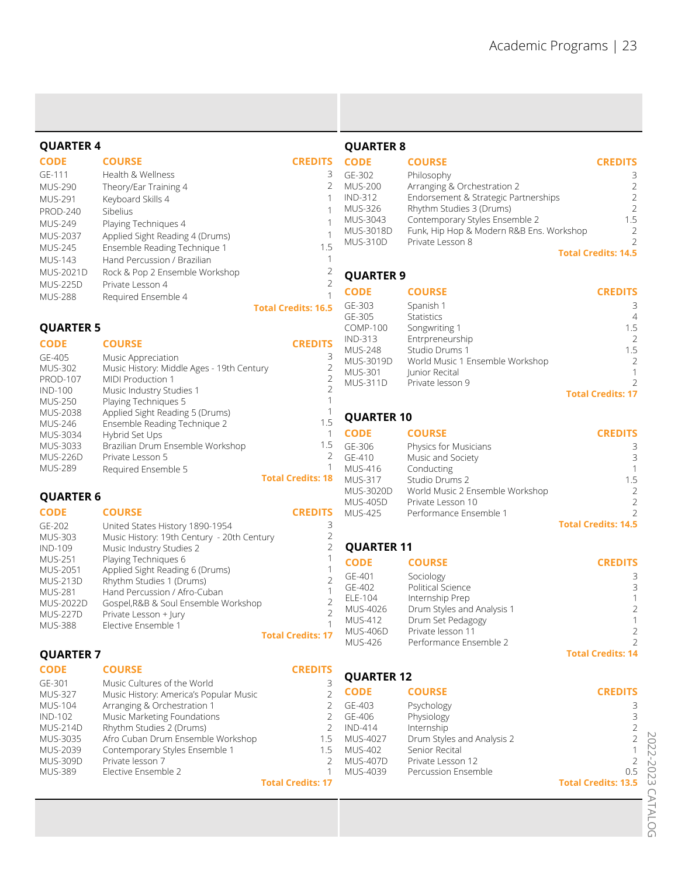| <b>QUARTER 4</b>                  |                                                               |                                       | <b>QUARTER 8</b>                  |                                                      |                                  |
|-----------------------------------|---------------------------------------------------------------|---------------------------------------|-----------------------------------|------------------------------------------------------|----------------------------------|
| <b>CODE</b>                       | <b>COURSE</b>                                                 | <b>CREDITS</b>                        | <b>CODE</b>                       | <b>COURSE</b>                                        | <b>CREDITS</b>                   |
| GE-111                            | Health & Wellness                                             | 3                                     | GE-302                            | Philosophy                                           | 3                                |
| <b>MUS-290</b>                    | Theory/Ear Training 4                                         | $\overline{2}$                        | <b>MUS-200</b>                    | Arranging & Orchestration 2                          | $\overline{2}$                   |
| <b>MUS-291</b>                    | Keyboard Skills 4                                             | $\mathbf{1}$                          | <b>IND-312</b>                    | Endorsement & Strategic Partnerships                 | $\overline{2}$                   |
| <b>PROD-240</b>                   | Sibelius                                                      | $\mathbf{1}$                          | <b>MUS-326</b>                    | Rhythm Studies 3 (Drums)                             | $\overline{2}$                   |
| <b>MUS-249</b>                    | Playing Techniques 4                                          | $\mathbf{1}$                          | MUS-3043                          | Contemporary Styles Ensemble 2                       | 1.5                              |
| <b>MUS-2037</b>                   | Applied Sight Reading 4 (Drums)                               | 1                                     | <b>MUS-3018D</b>                  | Funk, Hip Hop & Modern R&B Ens. Workshop             | $\overline{2}$                   |
| <b>MUS-245</b>                    | Ensemble Reading Technique 1                                  | 1.5                                   | <b>MUS-310D</b>                   | Private Lesson 8                                     | $\mathcal{P}$                    |
| <b>MUS-143</b>                    | Hand Percussion / Brazilian                                   | $\mathbf{1}$                          |                                   |                                                      | <b>Total Credits: 14.5</b>       |
| <b>MUS-2021D</b>                  | Rock & Pop 2 Ensemble Workshop                                | $\overline{2}$                        | <b>QUARTER 9</b>                  |                                                      |                                  |
| <b>MUS-225D</b>                   | Private Lesson 4                                              | $\overline{2}$                        |                                   |                                                      |                                  |
| <b>MUS-288</b>                    | Required Ensemble 4                                           | $\mathbf{1}$                          | <b>CODE</b>                       | <b>COURSE</b>                                        | <b>CREDITS</b>                   |
|                                   |                                                               | <b>Total Credits: 16.5</b>            | GE-303                            | Spanish 1                                            | 3                                |
|                                   |                                                               |                                       | GE-305                            | Statistics                                           | $\overline{4}$                   |
| <b>QUARTER 5</b>                  |                                                               |                                       | <b>COMP-100</b><br><b>IND-313</b> | Songwriting 1                                        | 1.5<br>$\overline{2}$            |
| <b>CODE</b>                       | <b>COURSE</b>                                                 | <b>CREDITS</b>                        | <b>MUS-248</b>                    | Entrpreneurship<br>Studio Drums 1                    | 1.5                              |
| GE-405                            | Music Appreciation                                            | 3                                     | MUS-3019D                         | World Music 1 Ensemble Workshop                      | $\overline{2}$                   |
| <b>MUS-302</b>                    | Music History: Middle Ages - 19th Century                     | $\overline{c}$                        | <b>MUS-301</b>                    | Junior Recital                                       | 1                                |
| <b>PROD-107</b>                   | MIDI Production 1                                             | $\overline{2}$                        | <b>MUS-311D</b>                   | Private lesson 9                                     | $\mathfrak{D}$                   |
| <b>IND-100</b>                    | Music Industry Studies 1                                      | $\overline{2}$<br>$\mathbf 1$         |                                   |                                                      | <b>Total Credits: 17</b>         |
| <b>MUS-250</b><br><b>MUS-2038</b> | Playing Techniques 5<br>Applied Sight Reading 5 (Drums)       |                                       |                                   |                                                      |                                  |
| <b>MUS-246</b>                    | Ensemble Reading Technique 2                                  | 1.5                                   | <b>QUARTER 10</b>                 |                                                      |                                  |
| MUS-3034                          | Hybrid Set Ups                                                | $\mathbf{1}$                          | <b>CODE</b>                       | <b>COURSE</b>                                        | <b>CREDITS</b>                   |
| MUS-3033                          | Brazilian Drum Ensemble Workshop                              | 1.5                                   | GE-306                            | Physics for Musicians                                | 3                                |
| <b>MUS-226D</b>                   | Private Lesson 5                                              | 2                                     | GE-410                            | Music and Society                                    | 3                                |
| <b>MUS-289</b>                    | Required Ensemble 5                                           | $\mathbf 1$                           | <b>MUS-416</b>                    | Conducting                                           | $\mathbf{1}$                     |
|                                   |                                                               | <b>Total Credits: 18</b>              | <b>MUS-317</b>                    | Studio Drums 2                                       | 1.5                              |
| <b>QUARTER 6</b>                  |                                                               |                                       | MUS-3020D<br><b>MUS-405D</b>      | World Music 2 Ensemble Workshop<br>Private Lesson 10 | $\overline{2}$<br>$\overline{2}$ |
| <b>CODE</b>                       | <b>COURSE</b>                                                 | <b>CREDITS</b>                        | <b>MUS-425</b>                    | Performance Ensemble 1                               |                                  |
| GE-202                            | United States History 1890-1954                               | 3                                     |                                   |                                                      | <b>Total Credits: 14.5</b>       |
| <b>MUS-303</b>                    | Music History: 19th Century - 20th Century                    | $\overline{c}$                        |                                   |                                                      |                                  |
| <b>IND-109</b>                    | Music Industry Studies 2                                      | $\overline{2}$                        | <b>QUARTER 11</b>                 |                                                      |                                  |
| <b>MUS-251</b>                    | Playing Techniques 6                                          | 1                                     | <b>CODE</b>                       | <b>COURSE</b>                                        | <b>CREDITS</b>                   |
| MUS-2051                          | Applied Sight Reading 6 (Drums)                               |                                       | GE-401                            | Sociology                                            | 3                                |
| <b>MUS-213D</b>                   | Rhythm Studies 1 (Drums)                                      | $\overline{2}$<br>1                   | GF-402                            | <b>Political Science</b>                             | 3                                |
| <b>MUS-281</b><br>MUS-2022D       | Hand Percussion / Afro-Cuban                                  |                                       | ELE-104                           | Internship Prep                                      | 1                                |
| <b>MUS-227D</b>                   | Gospel, R&B & Soul Ensemble Workshop<br>Private Lesson + Jury | $\begin{array}{c} 2 \\ 2 \end{array}$ | MUS-4026                          | Drum Styles and Analysis 1                           | $\overline{2}$                   |
| <b>MUS-388</b>                    | Elective Ensemble 1                                           |                                       | <b>MUS-412</b>                    | Drum Set Pedagogy                                    | 1                                |
|                                   |                                                               | <b>Total Credits: 17</b>              | <b>MUS-406D</b>                   | Private lesson 11                                    | $\overline{2}$                   |
|                                   |                                                               |                                       | <b>MUS-426</b>                    | Performance Ensemble 2                               | <b>Total Credits: 14</b>         |
| <b>QUARTER 7</b>                  |                                                               |                                       |                                   |                                                      |                                  |
| <b>CODE</b>                       | <b>COURSE</b>                                                 | <b>CREDITS</b>                        | <b>QUARTER 12</b>                 |                                                      |                                  |
| GE-301                            | Music Cultures of the World                                   | 3                                     | <b>CODE</b>                       | <b>COURSE</b>                                        | <b>CREDITS</b>                   |
| <b>MUS-327</b>                    | Music History: America's Popular Music                        | $\overline{2}$                        |                                   |                                                      |                                  |
| <b>MUS-104</b><br><b>IND-102</b>  | Arranging & Orchestration 1<br>Music Marketing Foundations    | 2<br>2                                | GE-403<br>GE-406                  | Psychology<br>Physiology                             | 3<br>3                           |
| <b>MUS-214D</b>                   | Rhythm Studies 2 (Drums)                                      | 2                                     | <b>IND-414</b>                    | Internship                                           | $\overline{2}$                   |
| MUS-3035                          | Afro Cuban Drum Ensemble Workshop                             | 1.5                                   | MUS-4027                          | Drum Styles and Analysis 2                           | $\overline{2}$                   |
| MUS-2039                          | Contemporary Styles Ensemble 1                                | 1.5                                   | <b>MUS-402</b>                    | Senior Recital                                       | 1                                |
| <b>MUS-309D</b>                   | Private lesson 7                                              | 2                                     | <b>MUS-407D</b>                   | Private Lesson 12                                    | 2                                |
| <b>MUS-389</b>                    | Elective Ensemble 2                                           | 1                                     | MUS-4039                          | Percussion Ensemble                                  | 0.5                              |
|                                   |                                                               | <b>Total Credits: 17</b>              |                                   |                                                      | <b>Total Credits: 13.5</b>       |
|                                   |                                                               |                                       |                                   |                                                      |                                  |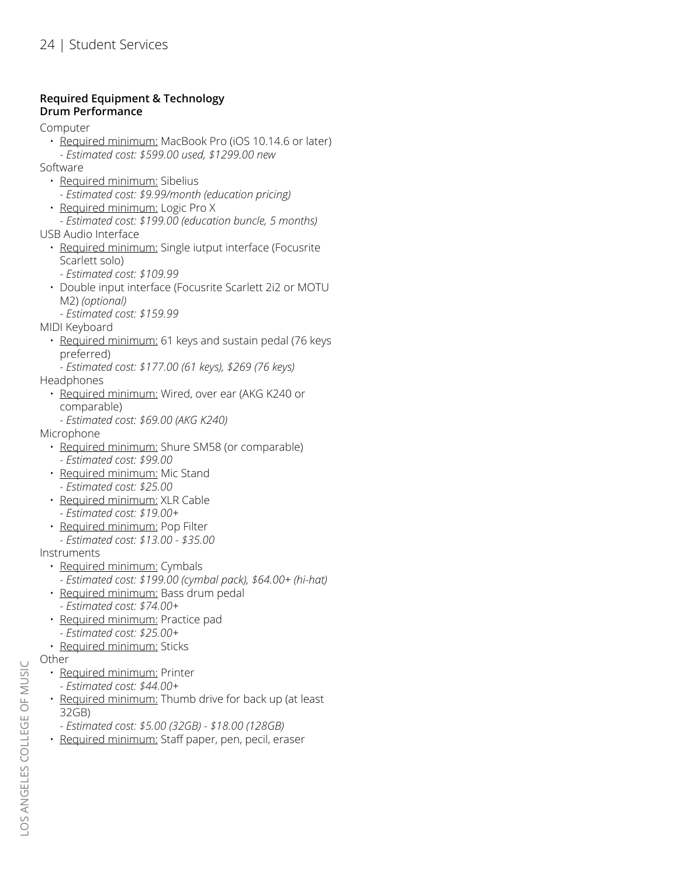# **Required Equipment & Technology Drum Performance**

Computer

- Required minimum: MacBook Pro (iOS 10.14.6 or later) - *Estimated cost: \$599.00 used, \$1299.00 new*
- Software
	- Required minimum: Sibelius
		- *Estimated cost: \$9.99/month (education pricing)*
	- Required minimum: Logic Pro X
- *Estimated cost: \$199.00 (education buncle, 5 months)* USB Audio Interface
	- Required minimum: Single iutput interface (Focusrite Scarlett solo)
		- *Estimated cost: \$109.99*
	- Double input interface (Focusrite Scarlett 2i2 or MOTU M2) *(optional)*
	- *Estimated cost: \$159.99*

MIDI Keyboard

- Required minimum: 61 keys and sustain pedal (76 keys preferred)
- *Estimated cost: \$177.00 (61 keys), \$269 (76 keys)* Headphones
	- Required minimum: Wired, over ear (AKG K240 or comparable)
	- *Estimated cost: \$69.00 (AKG K240)*

Microphone

- Required minimum: Shure SM58 (or comparable) *- Estimated cost: \$99.00*
- Required minimum: Mic Stand *- Estimated cost: \$25.00*
- Required minimum: XLR Cable *- Estimated cost: \$19.00+*
- Required minimum: Pop Filter
	- *Estimated cost: \$13.00 \$35.00*

Instruments

- Required minimum: Cymbals
- *Estimated cost: \$199.00 (cymbal pack), \$64.00+ (hi-hat)*
- Required minimum: Bass drum pedal *- Estimated cost: \$74.00+*
- Required minimum: Practice pad *- Estimated cost: \$25.00+*
- Required minimum: Sticks

Other

- Required minimum: Printer
	- *Estimated cost: \$44.00+*
- Required minimum: Thumb drive for back up (at least 32GB)
- *Estimated cost: \$5.00 (32GB) \$18.00 (128GB)*
- Required minimum: Staff paper, pen, pecil, eraser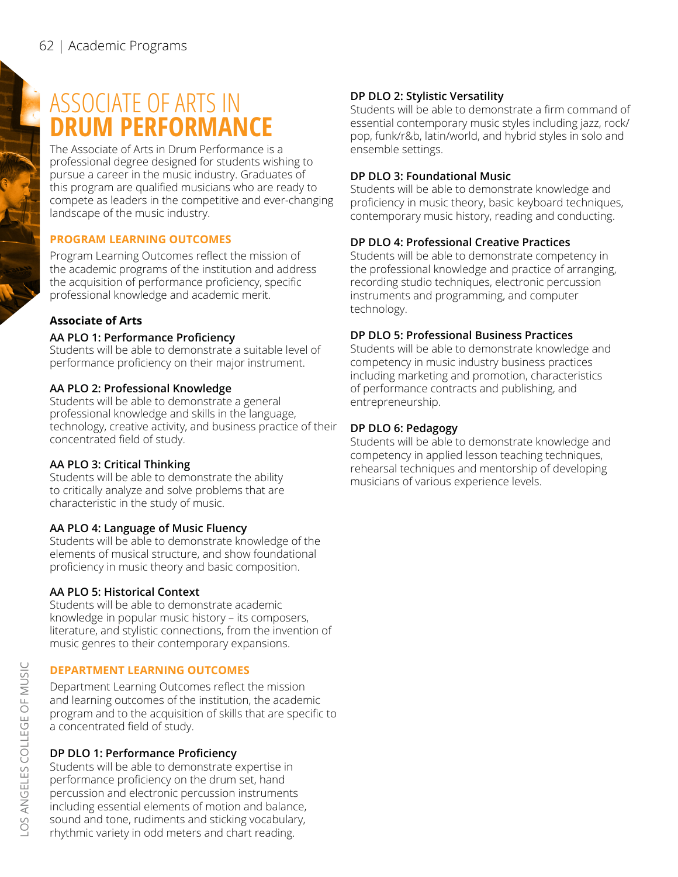# ASSOCIATE OF ARTS IN **DRUM PERFORMANCE**

The Associate of Arts in Drum Performance is a professional degree designed for students wishing to pursue a career in the music industry. Graduates of this program are qualified musicians who are ready to compete as leaders in the competitive and ever-changing landscape of the music industry.

# **PROGRAM LEARNING OUTCOMES**

Program Learning Outcomes reflect the mission of the academic programs of the institution and address the acquisition of performance proficiency, specific professional knowledge and academic merit.

# **Associate of Arts**

# **AA PLO 1: Performance Proficiency**

Students will be able to demonstrate a suitable level of performance proficiency on their major instrument.

# **AA PLO 2: Professional Knowledge**

Students will be able to demonstrate a general professional knowledge and skills in the language, technology, creative activity, and business practice of their concentrated field of study.

# **AA PLO 3: Critical Thinking**

Students will be able to demonstrate the ability to critically analyze and solve problems that are characteristic in the study of music.

## **AA PLO 4: Language of Music Fluency**

Students will be able to demonstrate knowledge of the elements of musical structure, and show foundational proficiency in music theory and basic composition.

# **AA PLO 5: Historical Context**

Students will be able to demonstrate academic knowledge in popular music history – its composers, literature, and stylistic connections, from the invention of music genres to their contemporary expansions.

# **DEPARTMENT LEARNING OUTCOMES**

Department Learning Outcomes reflect the mission and learning outcomes of the institution, the academic program and to the acquisition of skills that are specific to a concentrated field of study.

# **DP DLO 1: Performance Proficiency**

Students will be able to demonstrate expertise in performance proficiency on the drum set, hand percussion and electronic percussion instruments including essential elements of motion and balance, sound and tone, rudiments and sticking vocabulary, rhythmic variety in odd meters and chart reading.

# **DP DLO 2: Stylistic Versatility**

Students will be able to demonstrate a firm command of essential contemporary music styles including jazz, rock/ pop, funk/r&b, latin/world, and hybrid styles in solo and ensemble settings.

## **DP DLO 3: Foundational Music**

Students will be able to demonstrate knowledge and proficiency in music theory, basic keyboard techniques, contemporary music history, reading and conducting.

# **DP DLO 4: Professional Creative Practices**

Students will be able to demonstrate competency in the professional knowledge and practice of arranging, recording studio techniques, electronic percussion instruments and programming, and computer technology.

# **DP DLO 5: Professional Business Practices**

Students will be able to demonstrate knowledge and competency in music industry business practices including marketing and promotion, characteristics of performance contracts and publishing, and entrepreneurship.

# **DP DLO 6: Pedagogy**

Students will be able to demonstrate knowledge and competency in applied lesson teaching techniques, rehearsal techniques and mentorship of developing musicians of various experience levels.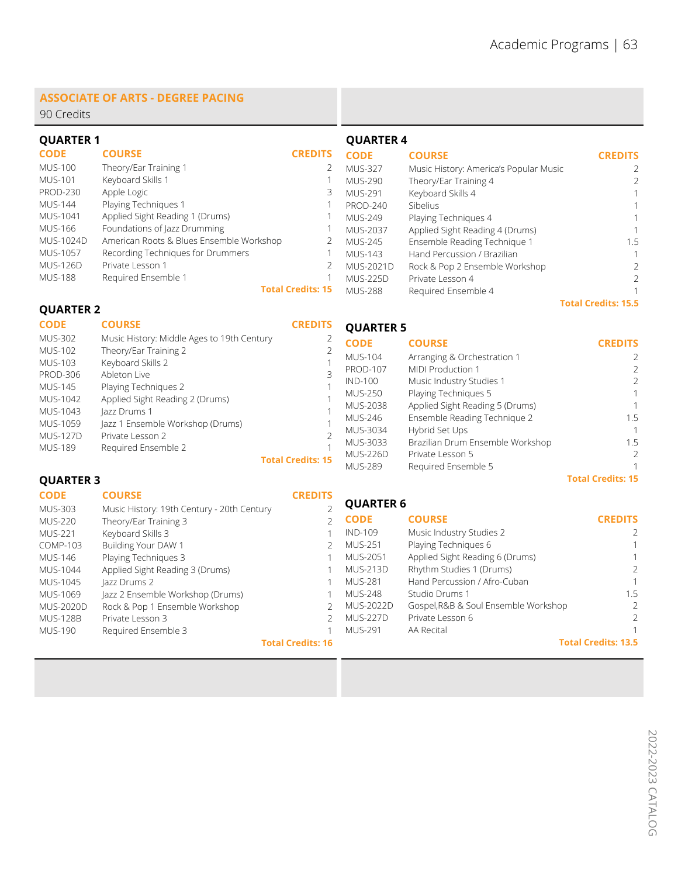**Total Credits: 15.5**

**Total Credits: 15**

#### **ASSOCIATE OF ARTS - DEGREE PACING**

90 Credits

| <b>QUARTER 1</b> |                                          |                          | <b>QUARTER 4</b> |                                        |                |
|------------------|------------------------------------------|--------------------------|------------------|----------------------------------------|----------------|
| <b>CODE</b>      | <b>COURSE</b>                            | <b>CREDITS</b>           | <b>CODE</b>      | <b>COURSE</b>                          | <b>CREDITS</b> |
| <b>MUS-100</b>   | Theory/Ear Training 1                    |                          | <b>MUS-327</b>   | Music History: America's Popular Music |                |
| <b>MUS-101</b>   | Keyboard Skills 1                        |                          | <b>MUS-290</b>   | Theory/Ear Training 4                  |                |
| <b>PROD-230</b>  | Apple Logic                              | 3                        | MUS-291          | Keyboard Skills 4                      |                |
| <b>MUS-144</b>   | Playing Techniques 1                     |                          | <b>PROD-240</b>  | Sibelius                               |                |
| MUS-1041         | Applied Sight Reading 1 (Drums)          |                          | MUS-249          | Playing Techniques 4                   |                |
| <b>MUS-166</b>   | Foundations of Jazz Drumming             |                          | <b>MUS-2037</b>  | Applied Sight Reading 4 (Drums)        |                |
| <b>MUS-1024D</b> | American Roots & Blues Ensemble Workshop |                          | MUS-245          | Ensemble Reading Technique 1           | 1.5            |
| <b>MUS-1057</b>  | Recording Techniques for Drummers        |                          | MUS-143          | Hand Percussion / Brazilian            |                |
| <b>MUS-126D</b>  | Private Lesson 1                         |                          | MUS-2021D        | Rock & Pop 2 Ensemble Workshop         | 2              |
| <b>MUS-188</b>   | Required Ensemble 1                      |                          | <b>MUS-225D</b>  | Private Lesson 4                       |                |
|                  |                                          | <b>Total Credits: 15</b> | <b>MUS-288</b>   | Required Ensemble 4                    |                |

#### **QUARTER 2**

**COURSE**

**CODE**

**QUARTER 5 CREDITS**

| <b>MUS-302</b>  | Music History: Middle Ages to 19th Century |                          | <b>CODE</b>     | <b>COURSE</b>                    | <b>CREDITS</b> |
|-----------------|--------------------------------------------|--------------------------|-----------------|----------------------------------|----------------|
| <b>MUS-102</b>  | Theory/Ear Training 2                      |                          | <b>MUS-104</b>  | Arranging & Orchestration 1      |                |
| <b>MUS-103</b>  | Keyboard Skills 2                          |                          |                 |                                  |                |
|                 |                                            |                          | <b>PROD-107</b> | MIDI Production 1                |                |
| <b>PROD-306</b> | Ableton Live                               |                          | IND-100         | Music Industry Studies 1         | $\mathcal{P}$  |
| MUS-145         | Playing Techniques 2                       |                          |                 |                                  |                |
| MUS-1042        | Applied Sight Reading 2 (Drums)            |                          | <b>MUS-250</b>  | Playing Techniques 5             |                |
|                 |                                            |                          | MUS-2038        | Applied Sight Reading 5 (Drums)  |                |
| MUS-1043        | Jazz Drums 1                               |                          | MUS-246         | Ensemble Reading Technique 2     | 1.5            |
| MUS-1059        | Jazz 1 Ensemble Workshop (Drums)           |                          |                 |                                  |                |
| <b>MUS-127D</b> | Private Lesson 2                           |                          | MUS-3034        | Hybrid Set Ups                   |                |
|                 |                                            |                          | MUS-3033        | Brazilian Drum Ensemble Workshop | 1.5            |
| <b>MUS-189</b>  | Required Ensemble 2                        |                          | <b>MUS-226D</b> | Private Lesson 5                 |                |
|                 |                                            | <b>Total Credits: 15</b> |                 |                                  |                |
|                 |                                            |                          | <b>MUS-289</b>  | Required Ensemble 5              |                |

#### **QUARTER 3**

**QUARTER 6 CODE** IND-109 MUS-251 MUS-2051 MUS-213D MUS-281 MUS-248 MUS-2022D MUS-227D MUS-291 **CREDITS**  $\overline{2}$ 1 1  $\overline{2}$ 1 1.5  $\overline{2}$ 2 1 **Total Credits: 13.5 COURSE** Music Industry Studies 2 Playing Techniques 6 Applied Sight Reading 6 (Drums) Rhythm Studies 1 (Drums) Hand Percussion / Afro-Cuban Studio Drums 1 Gospel,R&B & Soul Ensemble Workshop Private Lesson 6 AA Recital **CODE** MUS-303 MUS-220 MUS-221 COMP-103 MUS-146 MUS-1044 MUS-1045 MUS-1069 MUS-2020D MUS-128B MUS-190 **CREDITS** 2 2 1 2 1 1 1 1  $\mathcal{L}$ 2 1 **Total Credits: 16 COURSE** Music History: 19th Century - 20th Century Theory/Ear Training 3 Keyboard Skills 3 Building Your DAW 1 Playing Techniques 3 Applied Sight Reading 3 (Drums) Jazz Drums 2 Jazz 2 Ensemble Workshop (Drums) Rock & Pop 1 Ensemble Workshop Private Lesson 3 Required Ensemble 3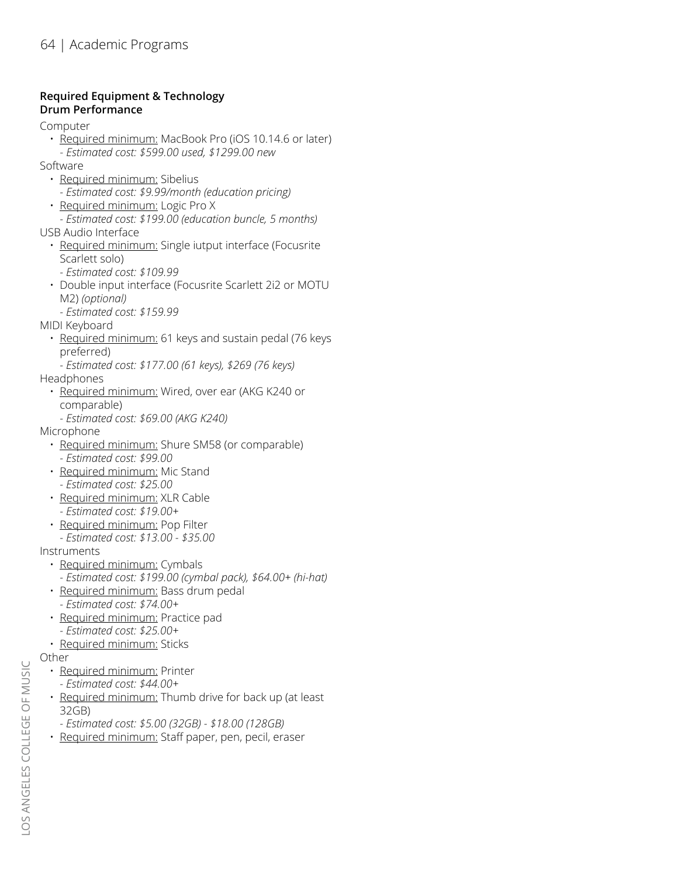# **Required Equipment & Technology Drum Performance**

Computer

- Required minimum: MacBook Pro (iOS 10.14.6 or later)
- *Estimated cost: \$599.00 used, \$1299.00 new*
- Software
	- Required minimum: Sibelius
		- *Estimated cost: \$9.99/month (education pricing)*
	- Required minimum: Logic Pro X
	- *Estimated cost: \$199.00 (education buncle, 5 months)*
- USB Audio Interface
	- Required minimum: Single iutput interface (Focusrite Scarlett solo)
		- *Estimated cost: \$109.99*
	- Double input interface (Focusrite Scarlett 2i2 or MOTU M2) *(optional)*
		- *Estimated cost: \$159.99*
- MIDI Keyboard
	- Required minimum: 61 keys and sustain pedal (76 keys preferred)
	- *Estimated cost: \$177.00 (61 keys), \$269 (76 keys)*
- Headphones
	- Required minimum: Wired, over ear (AKG K240 or comparable)
		- *Estimated cost: \$69.00 (AKG K240)*
- Microphone
	- Required minimum: Shure SM58 (or comparable) *- Estimated cost: \$99.00*
	- Required minimum: Mic Stand
	- *Estimated cost: \$25.00* • Required minimum: XLR Cable
	- *Estimated cost: \$19.00+*
	- Required minimum: Pop Filter *- Estimated cost: \$13.00 - \$35.00*
- **Instruments** 
	- Required minimum: Cymbals
		- *Estimated cost: \$199.00 (cymbal pack), \$64.00+ (hi-hat)*
	- Required minimum: Bass drum pedal *- Estimated cost: \$74.00+*
	- Required minimum: Practice pad *- Estimated cost: \$25.00+*
	- Required minimum: Sticks
- Other
	- Required minimum: Printer *- Estimated cost: \$44.00+*
	- Required minimum: Thumb drive for back up (at least 32GB)
	- *Estimated cost: \$5.00 (32GB) \$18.00 (128GB)*
	- Required minimum: Staff paper, pen, pecil, eraser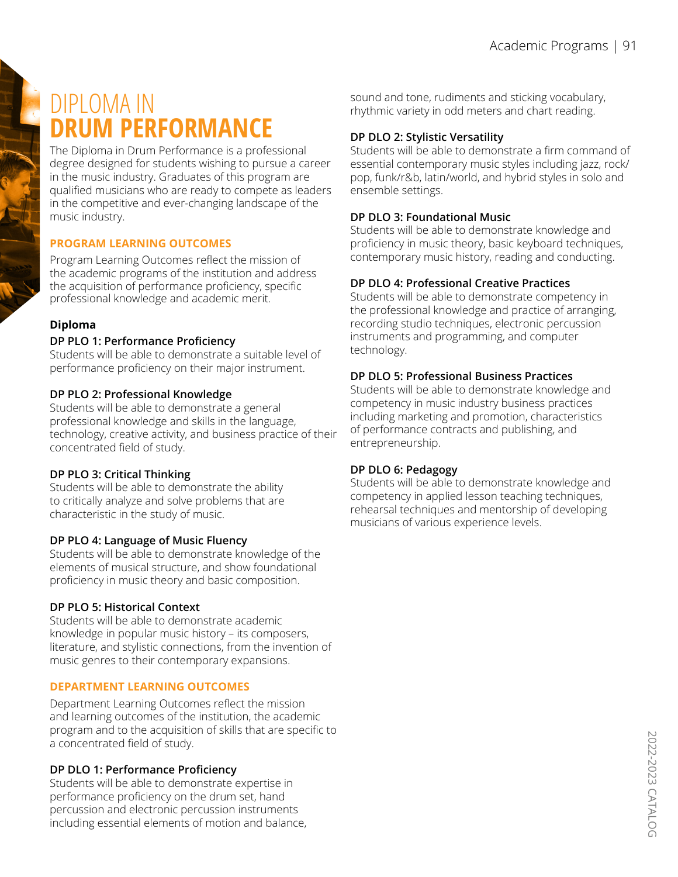# DIPLOMA IN **DRUM PERFORMANCE**

The Diploma in Drum Performance is a professional degree designed for students wishing to pursue a career in the music industry. Graduates of this program are qualified musicians who are ready to compete as leaders in the competitive and ever-changing landscape of the music industry.

# **PROGRAM LEARNING OUTCOMES**

Program Learning Outcomes reflect the mission of the academic programs of the institution and address the acquisition of performance proficiency, specific professional knowledge and academic merit.

# **Diploma**

## **DP PLO 1: Performance Proficiency**

Students will be able to demonstrate a suitable level of performance proficiency on their major instrument.

## **DP PLO 2: Professional Knowledge**

Students will be able to demonstrate a general professional knowledge and skills in the language, technology, creative activity, and business practice of their concentrated field of study.

# **DP PLO 3: Critical Thinking**

Students will be able to demonstrate the ability to critically analyze and solve problems that are characteristic in the study of music.

## **DP PLO 4: Language of Music Fluency**

Students will be able to demonstrate knowledge of the elements of musical structure, and show foundational proficiency in music theory and basic composition.

# **DP PLO 5: Historical Context**

Students will be able to demonstrate academic knowledge in popular music history – its composers, literature, and stylistic connections, from the invention of music genres to their contemporary expansions.

# **DEPARTMENT LEARNING OUTCOMES**

Department Learning Outcomes reflect the mission and learning outcomes of the institution, the academic program and to the acquisition of skills that are specific to a concentrated field of study.

# **DP DLO 1: Performance Proficiency**

Students will be able to demonstrate expertise in performance proficiency on the drum set, hand percussion and electronic percussion instruments including essential elements of motion and balance, sound and tone, rudiments and sticking vocabulary, rhythmic variety in odd meters and chart reading.

# **DP DLO 2: Stylistic Versatility**

Students will be able to demonstrate a firm command of essential contemporary music styles including jazz, rock/ pop, funk/r&b, latin/world, and hybrid styles in solo and ensemble settings.

# **DP DLO 3: Foundational Music**

Students will be able to demonstrate knowledge and proficiency in music theory, basic keyboard techniques, contemporary music history, reading and conducting.

# **DP DLO 4: Professional Creative Practices**

Students will be able to demonstrate competency in the professional knowledge and practice of arranging, recording studio techniques, electronic percussion instruments and programming, and computer technology.

# **DP DLO 5: Professional Business Practices**

Students will be able to demonstrate knowledge and competency in music industry business practices including marketing and promotion, characteristics of performance contracts and publishing, and entrepreneurship.

## **DP DLO 6: Pedagogy**

Students will be able to demonstrate knowledge and competency in applied lesson teaching techniques, rehearsal techniques and mentorship of developing musicians of various experience levels.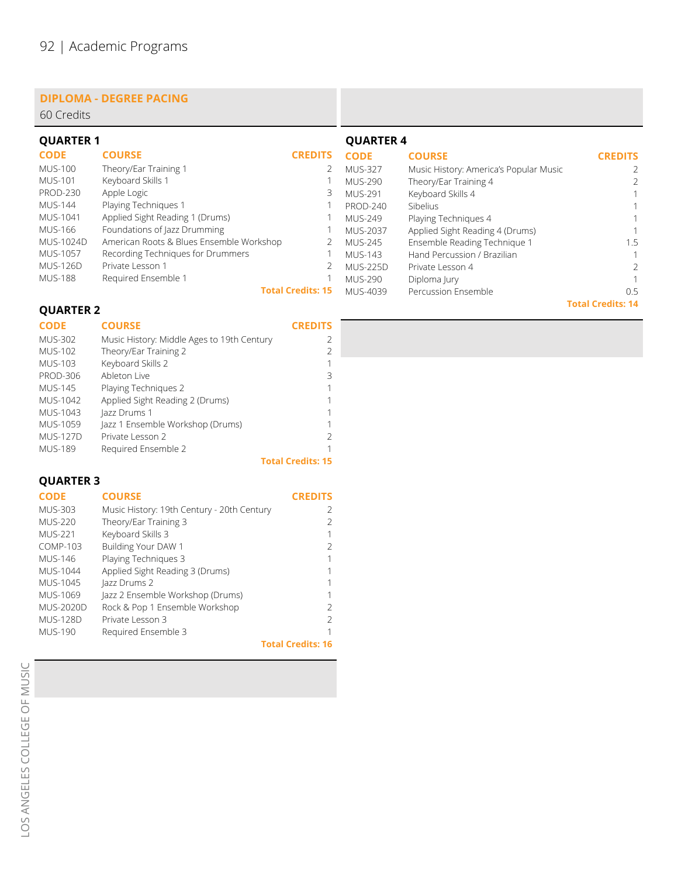#### **DIPLOMA - DEGREE PACING**

| 60 Credits       |                                          |                          |                  |                                        |                |
|------------------|------------------------------------------|--------------------------|------------------|----------------------------------------|----------------|
| <b>QUARTER 1</b> |                                          |                          | <b>QUARTER 4</b> |                                        |                |
| <b>CODE</b>      | <b>COURSE</b>                            | <b>CREDITS</b>           | <b>CODE</b>      | <b>COURSE</b>                          | <b>CREDITS</b> |
| <b>MUS-100</b>   | Theory/Ear Training 1                    |                          | <b>MUS-327</b>   | Music History: America's Popular Music |                |
| <b>MUS-101</b>   | Keyboard Skills 1                        |                          | <b>MUS-290</b>   | Theory/Ear Training 4                  | 2              |
| <b>PROD-230</b>  | Apple Logic                              | 3                        | <b>MUS-291</b>   | Keyboard Skills 4                      |                |
| <b>MUS-144</b>   | Playing Techniques 1                     |                          | <b>PROD-240</b>  | Sibelius                               |                |
| MUS-1041         | Applied Sight Reading 1 (Drums)          |                          | MUS-249          | Playing Techniques 4                   |                |
| <b>MUS-166</b>   | Foundations of Jazz Drumming             |                          | <b>MUS-2037</b>  | Applied Sight Reading 4 (Drums)        |                |
| <b>MUS-1024D</b> | American Roots & Blues Ensemble Workshop |                          | MUS-245          | Ensemble Reading Technique 1           | 1.5            |
| <b>MUS-1057</b>  | Recording Techniques for Drummers        |                          | MUS-143          | Hand Percussion / Brazilian            |                |
| <b>MUS-126D</b>  | Private Lesson 1                         |                          | <b>MUS-225D</b>  | Private Lesson 4                       | 2              |
| <b>MUS-188</b>   | Required Ensemble 1                      |                          | MUS-290          | Diploma Jury                           |                |
|                  |                                          | <b>Total Credits: 15</b> | MUS-4039         | Percussion Ensemble                    | 0.5            |

**Total Credits: 14**

# **QUARTER 2**

| DE |  | <b>COURSE</b> |
|----|--|---------------|

#### **CREDITS**

| <b>CODE</b>     | <b>COURSE</b>                              | <b>CREDITS</b>           |
|-----------------|--------------------------------------------|--------------------------|
| <b>MUS-302</b>  | Music History: Middle Ages to 19th Century | 2                        |
| MUS-102         | Theory/Ear Training 2                      | $\mathcal{P}$            |
| MUS-103         | Keyboard Skills 2                          |                          |
| <b>PROD-306</b> | Ableton Live                               | 3                        |
| <b>MUS-145</b>  | Playing Techniques 2                       |                          |
| MUS-1042        | Applied Sight Reading 2 (Drums)            |                          |
| MUS-1043        | Jazz Drums 1                               |                          |
| MUS-1059        | Jazz 1 Ensemble Workshop (Drums)           |                          |
| <b>MUS-127D</b> | Private Lesson 2                           | $\mathcal{P}$            |
| <b>MUS-189</b>  | Required Ensemble 2                        |                          |
|                 |                                            | <b>Total Credits: 15</b> |

# **QUARTER 3**

| <b>CODE</b>      | <b>COURSE</b>                              | <b>CREDITS</b>           |
|------------------|--------------------------------------------|--------------------------|
| <b>MUS-303</b>   | Music History: 19th Century - 20th Century | 2                        |
| MUS-220          | Theory/Ear Training 3                      | $\mathcal{P}$            |
| <b>MUS-221</b>   | Keyboard Skills 3                          | 1                        |
| <b>COMP-103</b>  | Building Your DAW 1                        | $\mathcal{P}$            |
| MUS-146          | Playing Techniques 3                       | 1                        |
| MUS-1044         | Applied Sight Reading 3 (Drums)            | 1                        |
| MUS-1045         | lazz Drums 2                               | 1                        |
| MUS-1069         | Jazz 2 Ensemble Workshop (Drums)           | 1                        |
| <b>MUS-2020D</b> | Rock & Pop 1 Ensemble Workshop             | 2                        |
| <b>MUS-128D</b>  | Private Lesson 3                           | $\mathcal{P}$            |
| <b>MUS-190</b>   | Required Ensemble 3                        |                          |
|                  |                                            | <b>Total Credits: 16</b> |